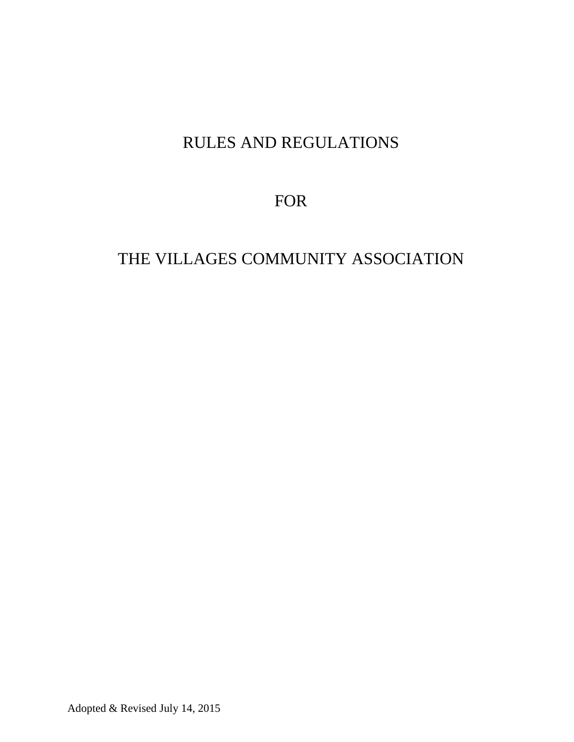# RULES AND REGULATIONS

FOR

# THE VILLAGES COMMUNITY ASSOCIATION

Adopted & Revised July 14, 2015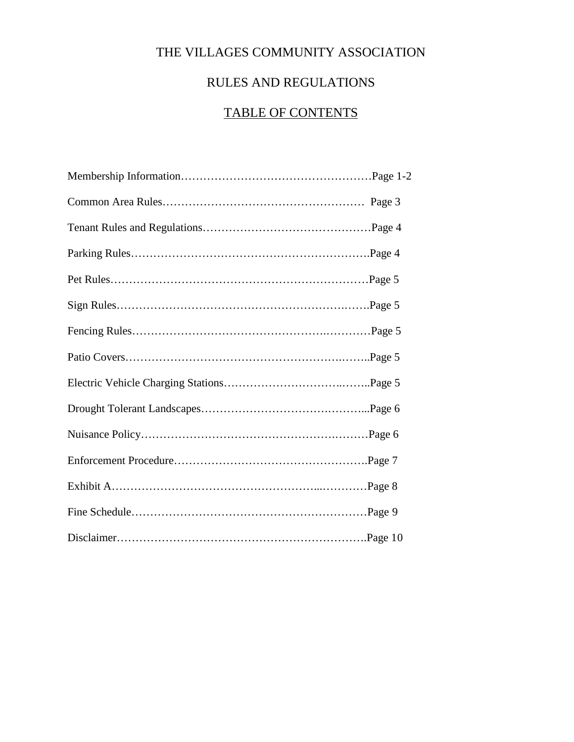## THE VILLAGES COMMUNITY ASSOCIATION

## RULES AND REGULATIONS

# TABLE OF CONTENTS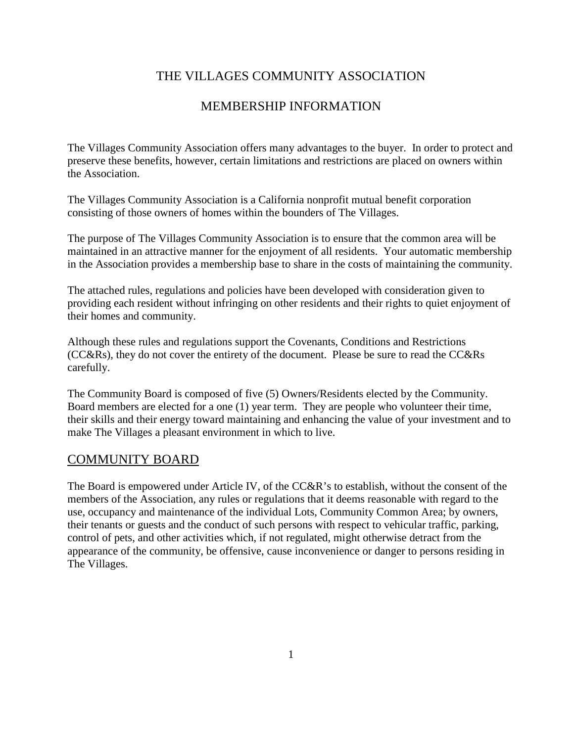### THE VILLAGES COMMUNITY ASSOCIATION

#### MEMBERSHIP INFORMATION

The Villages Community Association offers many advantages to the buyer. In order to protect and preserve these benefits, however, certain limitations and restrictions are placed on owners within the Association.

The Villages Community Association is a California nonprofit mutual benefit corporation consisting of those owners of homes within the bounders of The Villages.

The purpose of The Villages Community Association is to ensure that the common area will be maintained in an attractive manner for the enjoyment of all residents. Your automatic membership in the Association provides a membership base to share in the costs of maintaining the community.

The attached rules, regulations and policies have been developed with consideration given to providing each resident without infringing on other residents and their rights to quiet enjoyment of their homes and community.

Although these rules and regulations support the Covenants, Conditions and Restrictions (CC&Rs), they do not cover the entirety of the document. Please be sure to read the CC&Rs carefully.

The Community Board is composed of five (5) Owners/Residents elected by the Community. Board members are elected for a one (1) year term. They are people who volunteer their time, their skills and their energy toward maintaining and enhancing the value of your investment and to make The Villages a pleasant environment in which to live.

#### COMMUNITY BOARD

The Board is empowered under Article IV, of the CC&R's to establish, without the consent of the members of the Association, any rules or regulations that it deems reasonable with regard to the use, occupancy and maintenance of the individual Lots, Community Common Area; by owners, their tenants or guests and the conduct of such persons with respect to vehicular traffic, parking, control of pets, and other activities which, if not regulated, might otherwise detract from the appearance of the community, be offensive, cause inconvenience or danger to persons residing in The Villages.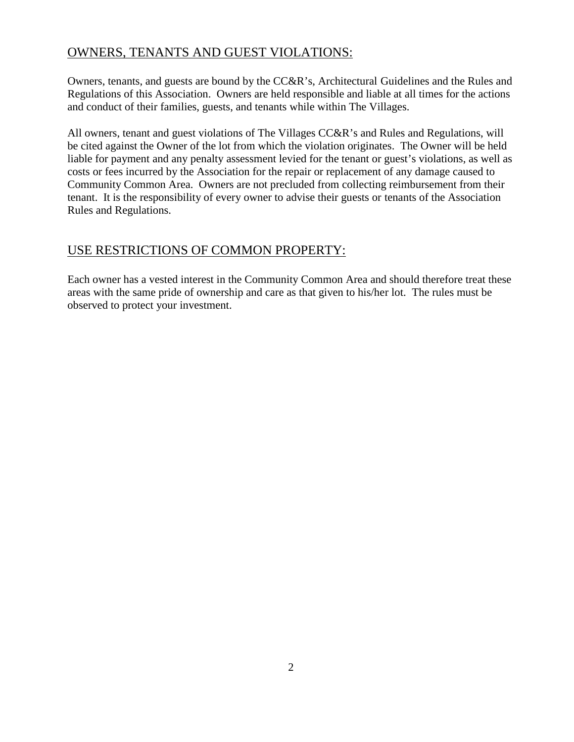### OWNERS, TENANTS AND GUEST VIOLATIONS:

Owners, tenants, and guests are bound by the CC&R's, Architectural Guidelines and the Rules and Regulations of this Association. Owners are held responsible and liable at all times for the actions and conduct of their families, guests, and tenants while within The Villages.

All owners, tenant and guest violations of The Villages CC&R's and Rules and Regulations, will be cited against the Owner of the lot from which the violation originates. The Owner will be held liable for payment and any penalty assessment levied for the tenant or guest's violations, as well as costs or fees incurred by the Association for the repair or replacement of any damage caused to Community Common Area. Owners are not precluded from collecting reimbursement from their tenant. It is the responsibility of every owner to advise their guests or tenants of the Association Rules and Regulations.

### USE RESTRICTIONS OF COMMON PROPERTY:

Each owner has a vested interest in the Community Common Area and should therefore treat these areas with the same pride of ownership and care as that given to his/her lot. The rules must be observed to protect your investment.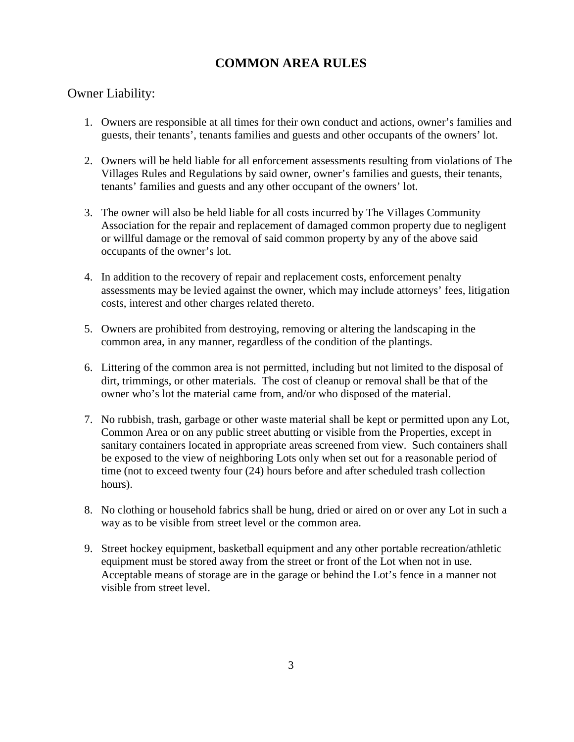### **COMMON AREA RULES**

#### Owner Liability:

- 1. Owners are responsible at all times for their own conduct and actions, owner's families and guests, their tenants', tenants families and guests and other occupants of the owners' lot.
- 2. Owners will be held liable for all enforcement assessments resulting from violations of The Villages Rules and Regulations by said owner, owner's families and guests, their tenants, tenants' families and guests and any other occupant of the owners' lot.
- 3. The owner will also be held liable for all costs incurred by The Villages Community Association for the repair and replacement of damaged common property due to negligent or willful damage or the removal of said common property by any of the above said occupants of the owner's lot.
- 4. In addition to the recovery of repair and replacement costs, enforcement penalty assessments may be levied against the owner, which may include attorneys' fees, litigation costs, interest and other charges related thereto.
- 5. Owners are prohibited from destroying, removing or altering the landscaping in the common area, in any manner, regardless of the condition of the plantings.
- 6. Littering of the common area is not permitted, including but not limited to the disposal of dirt, trimmings, or other materials. The cost of cleanup or removal shall be that of the owner who's lot the material came from, and/or who disposed of the material.
- 7. No rubbish, trash, garbage or other waste material shall be kept or permitted upon any Lot, Common Area or on any public street abutting or visible from the Properties, except in sanitary containers located in appropriate areas screened from view. Such containers shall be exposed to the view of neighboring Lots only when set out for a reasonable period of time (not to exceed twenty four (24) hours before and after scheduled trash collection hours).
- 8. No clothing or household fabrics shall be hung, dried or aired on or over any Lot in such a way as to be visible from street level or the common area.
- 9. Street hockey equipment, basketball equipment and any other portable recreation/athletic equipment must be stored away from the street or front of the Lot when not in use. Acceptable means of storage are in the garage or behind the Lot's fence in a manner not visible from street level.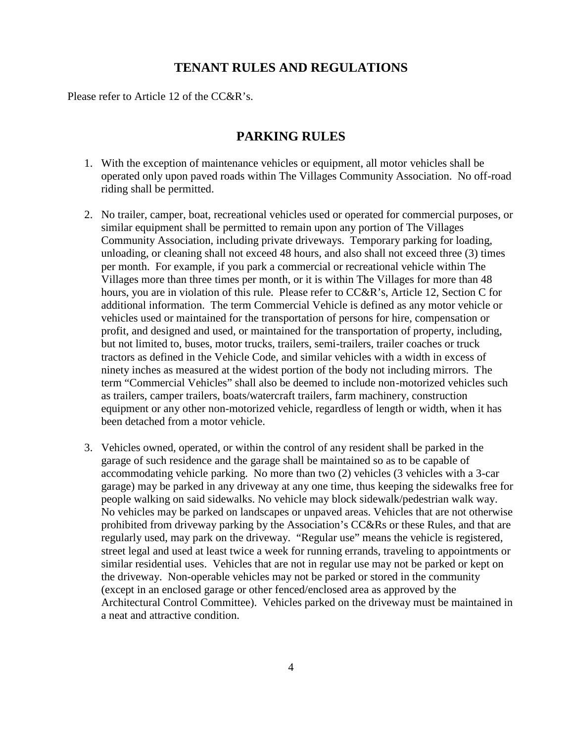#### **TENANT RULES AND REGULATIONS**

Please refer to Article 12 of the CC&R's.

#### **PARKING RULES**

- 1. With the exception of maintenance vehicles or equipment, all motor vehicles shall be operated only upon paved roads within The Villages Community Association. No off-road riding shall be permitted.
- 2. No trailer, camper, boat, recreational vehicles used or operated for commercial purposes, or similar equipment shall be permitted to remain upon any portion of The Villages Community Association, including private driveways. Temporary parking for loading, unloading, or cleaning shall not exceed 48 hours, and also shall not exceed three (3) times per month. For example, if you park a commercial or recreational vehicle within The Villages more than three times per month, or it is within The Villages for more than 48 hours, you are in violation of this rule. Please refer to CC&R's, Article 12, Section C for additional information. The term Commercial Vehicle is defined as any motor vehicle or vehicles used or maintained for the transportation of persons for hire, compensation or profit, and designed and used, or maintained for the transportation of property, including, but not limited to, buses, motor trucks, trailers, semi-trailers, trailer coaches or truck tractors as defined in the Vehicle Code, and similar vehicles with a width in excess of ninety inches as measured at the widest portion of the body not including mirrors. The term "Commercial Vehicles" shall also be deemed to include non-motorized vehicles such as trailers, camper trailers, boats/watercraft trailers, farm machinery, construction equipment or any other non-motorized vehicle, regardless of length or width, when it has been detached from a motor vehicle.
- 3. Vehicles owned, operated, or within the control of any resident shall be parked in the garage of such residence and the garage shall be maintained so as to be capable of accommodating vehicle parking. No more than two (2) vehicles (3 vehicles with a 3-car garage) may be parked in any driveway at any one time, thus keeping the sidewalks free for people walking on said sidewalks. No vehicle may block sidewalk/pedestrian walk way. No vehicles may be parked on landscapes or unpaved areas. Vehicles that are not otherwise prohibited from driveway parking by the Association's CC&Rs or these Rules, and that are regularly used, may park on the driveway. "Regular use" means the vehicle is registered, street legal and used at least twice a week for running errands, traveling to appointments or similar residential uses. Vehicles that are not in regular use may not be parked or kept on the driveway. Non-operable vehicles may not be parked or stored in the community (except in an enclosed garage or other fenced/enclosed area as approved by the Architectural Control Committee). Vehicles parked on the driveway must be maintained in a neat and attractive condition.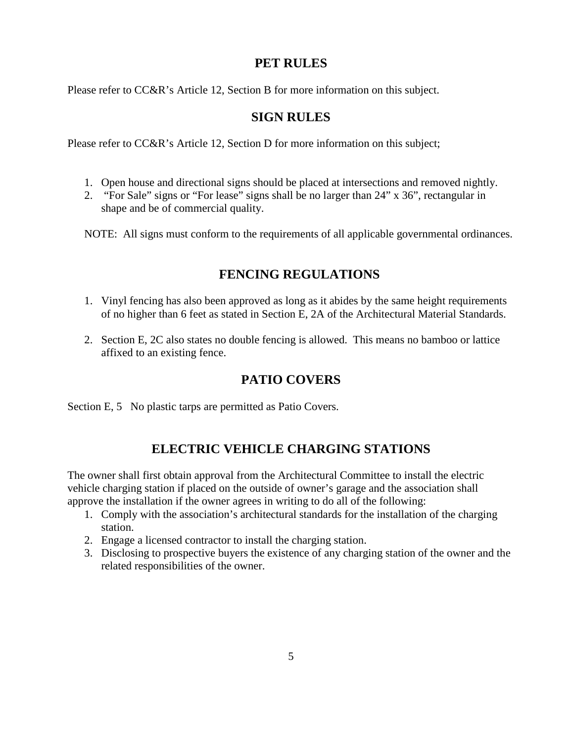### **PET RULES**

Please refer to CC&R's Article 12, Section B for more information on this subject.

### **SIGN RULES**

Please refer to CC&R's Article 12, Section D for more information on this subject;

- 1. Open house and directional signs should be placed at intersections and removed nightly.
- 2. "For Sale" signs or "For lease" signs shall be no larger than 24" x 36", rectangular in shape and be of commercial quality.

NOTE: All signs must conform to the requirements of all applicable governmental ordinances.

### **FENCING REGULATIONS**

- 1. Vinyl fencing has also been approved as long as it abides by the same height requirements of no higher than 6 feet as stated in Section E, 2A of the Architectural Material Standards.
- 2. Section E, 2C also states no double fencing is allowed. This means no bamboo or lattice affixed to an existing fence.

### **PATIO COVERS**

Section E, 5 No plastic tarps are permitted as Patio Covers.

### **ELECTRIC VEHICLE CHARGING STATIONS**

The owner shall first obtain approval from the Architectural Committee to install the electric vehicle charging station if placed on the outside of owner's garage and the association shall approve the installation if the owner agrees in writing to do all of the following:

- 1. Comply with the association's architectural standards for the installation of the charging station.
- 2. Engage a licensed contractor to install the charging station.
- 3. Disclosing to prospective buyers the existence of any charging station of the owner and the related responsibilities of the owner.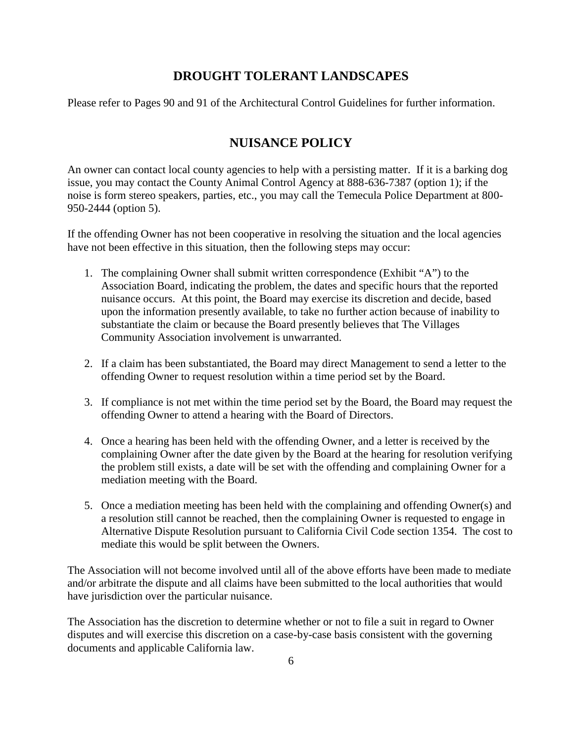#### **DROUGHT TOLERANT LANDSCAPES**

Please refer to Pages 90 and 91 of the Architectural Control Guidelines for further information.

#### **NUISANCE POLICY**

An owner can contact local county agencies to help with a persisting matter. If it is a barking dog issue, you may contact the County Animal Control Agency at 888-636-7387 (option 1); if the noise is form stereo speakers, parties, etc., you may call the Temecula Police Department at 800- 950-2444 (option 5).

If the offending Owner has not been cooperative in resolving the situation and the local agencies have not been effective in this situation, then the following steps may occur:

- 1. The complaining Owner shall submit written correspondence (Exhibit "A") to the Association Board, indicating the problem, the dates and specific hours that the reported nuisance occurs. At this point, the Board may exercise its discretion and decide, based upon the information presently available, to take no further action because of inability to substantiate the claim or because the Board presently believes that The Villages Community Association involvement is unwarranted.
- 2. If a claim has been substantiated, the Board may direct Management to send a letter to the offending Owner to request resolution within a time period set by the Board.
- 3. If compliance is not met within the time period set by the Board, the Board may request the offending Owner to attend a hearing with the Board of Directors.
- 4. Once a hearing has been held with the offending Owner, and a letter is received by the complaining Owner after the date given by the Board at the hearing for resolution verifying the problem still exists, a date will be set with the offending and complaining Owner for a mediation meeting with the Board.
- 5. Once a mediation meeting has been held with the complaining and offending Owner(s) and a resolution still cannot be reached, then the complaining Owner is requested to engage in Alternative Dispute Resolution pursuant to California Civil Code section 1354. The cost to mediate this would be split between the Owners.

The Association will not become involved until all of the above efforts have been made to mediate and/or arbitrate the dispute and all claims have been submitted to the local authorities that would have jurisdiction over the particular nuisance.

The Association has the discretion to determine whether or not to file a suit in regard to Owner disputes and will exercise this discretion on a case-by-case basis consistent with the governing documents and applicable California law.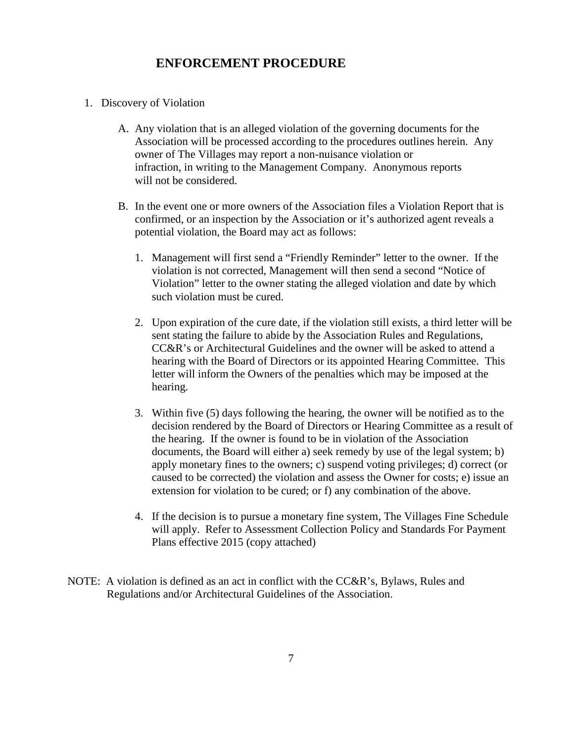#### **ENFORCEMENT PROCEDURE**

- 1. Discovery of Violation
	- A. Any violation that is an alleged violation of the governing documents for the Association will be processed according to the procedures outlines herein. Any owner of The Villages may report a non-nuisance violation or infraction, in writing to the Management Company. Anonymous reports will not be considered.
	- B. In the event one or more owners of the Association files a Violation Report that is confirmed, or an inspection by the Association or it's authorized agent reveals a potential violation, the Board may act as follows:
		- 1. Management will first send a "Friendly Reminder" letter to the owner. If the violation is not corrected, Management will then send a second "Notice of Violation" letter to the owner stating the alleged violation and date by which such violation must be cured.
		- 2. Upon expiration of the cure date, if the violation still exists, a third letter will be sent stating the failure to abide by the Association Rules and Regulations, CC&R's or Architectural Guidelines and the owner will be asked to attend a hearing with the Board of Directors or its appointed Hearing Committee. This letter will inform the Owners of the penalties which may be imposed at the hearing.
		- 3. Within five (5) days following the hearing, the owner will be notified as to the decision rendered by the Board of Directors or Hearing Committee as a result of the hearing. If the owner is found to be in violation of the Association documents, the Board will either a) seek remedy by use of the legal system; b) apply monetary fines to the owners; c) suspend voting privileges; d) correct (or caused to be corrected) the violation and assess the Owner for costs; e) issue an extension for violation to be cured; or f) any combination of the above.
		- 4. If the decision is to pursue a monetary fine system, The Villages Fine Schedule will apply. Refer to Assessment Collection Policy and Standards For Payment Plans effective 2015 (copy attached)
- NOTE: A violation is defined as an act in conflict with the CC&R's, Bylaws, Rules and Regulations and/or Architectural Guidelines of the Association.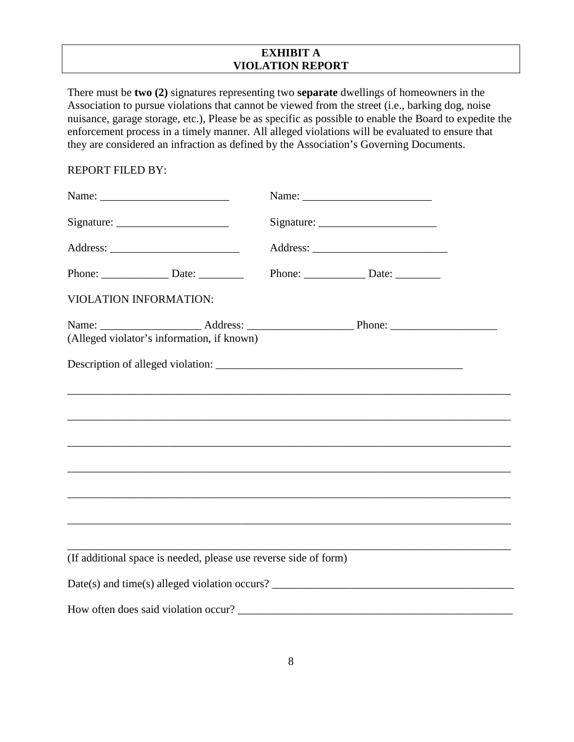#### **EXHIBIT A VIOLATION REPORT**

There must be **two (2)** signatures representing two **separate** dwellings of homeowners in the Association to pursue violations that cannot be viewed from the street (i.e., barking dog, noise nuisance, garage storage, etc.), Please be as specific as possible to enable the Board to expedite the enforcement process in a timely manner. All alleged violations will be evaluated to ensure that they are considered an infraction as defined by the Association's Governing Documents.

#### REPORT FILED BY:

| VIOLATION INFORMATION:                                           |  |
|------------------------------------------------------------------|--|
| (Alleged violator's information, if known)                       |  |
|                                                                  |  |
|                                                                  |  |
|                                                                  |  |
|                                                                  |  |
|                                                                  |  |
|                                                                  |  |
|                                                                  |  |
|                                                                  |  |
| (If additional space is needed, please use reverse side of form) |  |
|                                                                  |  |
|                                                                  |  |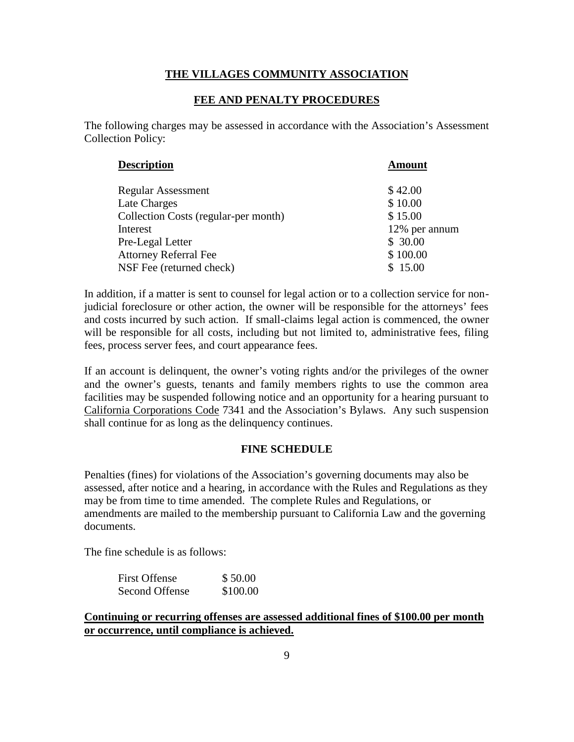#### **THE VILLAGES COMMUNITY ASSOCIATION**

#### **FEE AND PENALTY PROCEDURES**

The following charges may be assessed in accordance with the Association's Assessment Collection Policy:

| <b>Description</b>                   | <b>Amount</b> |
|--------------------------------------|---------------|
|                                      |               |
| <b>Regular Assessment</b>            | \$42.00       |
| Late Charges                         | \$10.00       |
| Collection Costs (regular-per month) | \$15.00       |
| Interest                             | 12% per annum |
| Pre-Legal Letter                     | \$30.00       |
| <b>Attorney Referral Fee</b>         | \$100.00      |
| NSF Fee (returned check)             | \$15.00       |

In addition, if a matter is sent to counsel for legal action or to a collection service for nonjudicial foreclosure or other action, the owner will be responsible for the attorneys' fees and costs incurred by such action. If small-claims legal action is commenced, the owner will be responsible for all costs, including but not limited to, administrative fees, filing fees, process server fees, and court appearance fees.

If an account is delinquent, the owner's voting rights and/or the privileges of the owner and the owner's guests, tenants and family members rights to use the common area facilities may be suspended following notice and an opportunity for a hearing pursuant to California Corporations Code 7341 and the Association's Bylaws. Any such suspension shall continue for as long as the delinquency continues.

#### **FINE SCHEDULE**

Penalties (fines) for violations of the Association's governing documents may also be assessed, after notice and a hearing, in accordance with the Rules and Regulations as they may be from time to time amended. The complete Rules and Regulations, or amendments are mailed to the membership pursuant to California Law and the governing documents.

The fine schedule is as follows:

| <b>First Offense</b> | \$50.00  |
|----------------------|----------|
| Second Offense       | \$100.00 |

#### **Continuing or recurring offenses are assessed additional fines of \$100.00 per month or occurrence, until compliance is achieved.**